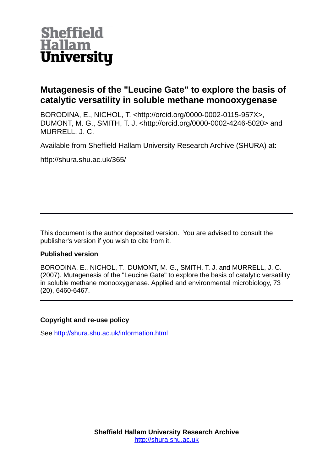

### **Mutagenesis of the "Leucine Gate" to explore the basis of catalytic versatility in soluble methane monooxygenase**

BORODINA, E., NICHOL, T. <http://orcid.org/0000-0002-0115-957X>, DUMONT, M. G., SMITH, T. J. <http://orcid.org/0000-0002-4246-5020> and MURRELL, J. C.

Available from Sheffield Hallam University Research Archive (SHURA) at:

http://shura.shu.ac.uk/365/

This document is the author deposited version. You are advised to consult the publisher's version if you wish to cite from it.

### **Published version**

BORODINA, E., NICHOL, T., DUMONT, M. G., SMITH, T. J. and MURRELL, J. C. (2007). Mutagenesis of the "Leucine Gate" to explore the basis of catalytic versatility in soluble methane monooxygenase. Applied and environmental microbiology, 73 (20), 6460-6467.

### **Copyright and re-use policy**

See<http://shura.shu.ac.uk/information.html>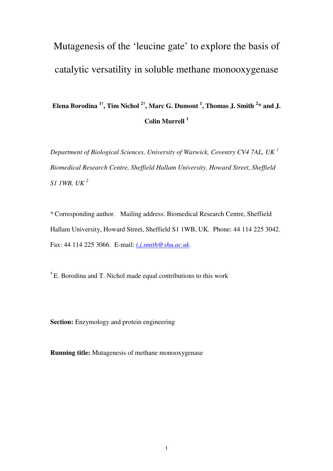# Mutagenesis of the 'leucine gate' to explore the basis of catalytic versatility in soluble methane monooxygenase

# **Elena Borodina 1†, Tim Nichol 2†, Marc G. Dumont <sup>1</sup> , Thomas J. Smith <sup>2</sup> \* and J. Colin Murrell <sup>1</sup>**

*Department of Biological Sciences, University of Warwick, Coventry CV4 7AL, UK <sup>1</sup> Biomedical Research Centre, Sheffield Hallam University, Howard Street, Sheffield S1 1WB, UK <sup>2</sup>*

\* Corresponding author. Mailing address: Biomedical Research Centre, Sheffield Hallam University, Howard Street, Sheffield S1 1WB, UK. Phone: 44 114 225 3042. Fax: 44 114 225 3066. E-mail: *t.j.smith@shu.ac.uk*.

**†** E. Borodina and T. Nichol made equal contributions to this work

**Section:** Enzymology and protein engineering

**Running title:** Mutagenesis of methane monooxygenase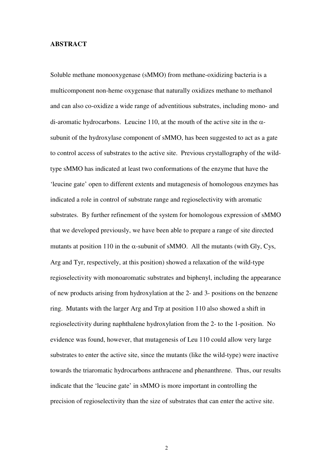### **ABSTRACT**

Soluble methane monooxygenase (sMMO) from methane-oxidizing bacteria is a multicomponent non-heme oxygenase that naturally oxidizes methane to methanol and can also co-oxidize a wide range of adventitious substrates, including mono- and di-aromatic hydrocarbons. Leucine 110, at the mouth of the active site in the  $\alpha$ subunit of the hydroxylase component of sMMO, has been suggested to act as a gate to control access of substrates to the active site. Previous crystallography of the wildtype sMMO has indicated at least two conformations of the enzyme that have the 'leucine gate' open to different extents and mutagenesis of homologous enzymes has indicated a role in control of substrate range and regioselectivity with aromatic substrates. By further refinement of the system for homologous expression of sMMO that we developed previously, we have been able to prepare a range of site directed mutants at position 110 in the  $\alpha$ -subunit of sMMO. All the mutants (with Gly, Cys, Arg and Tyr, respectively, at this position) showed a relaxation of the wild-type regioselectivity with monoaromatic substrates and biphenyl, including the appearance of new products arising from hydroxylation at the 2- and 3- positions on the benzene ring. Mutants with the larger Arg and Trp at position 110 also showed a shift in regioselectivity during naphthalene hydroxylation from the 2- to the 1-position. No evidence was found, however, that mutagenesis of Leu 110 could allow very large substrates to enter the active site, since the mutants (like the wild-type) were inactive towards the triaromatic hydrocarbons anthracene and phenanthrene. Thus, our results indicate that the 'leucine gate' in sMMO is more important in controlling the precision of regioselectivity than the size of substrates that can enter the active site.

 $\overline{2}$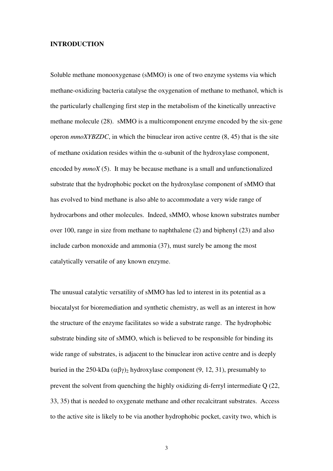### **INTRODUCTION**

Soluble methane monooxygenase (sMMO) is one of two enzyme systems via which methane-oxidizing bacteria catalyse the oxygenation of methane to methanol, which is the particularly challenging first step in the metabolism of the kinetically unreactive methane molecule (28). sMMO is a multicomponent enzyme encoded by the six-gene operon *mmoXYBZDC*, in which the binuclear iron active centre (8, 45) that is the site of methane oxidation resides within the α-subunit of the hydroxylase component, encoded by *mmoX* (5). It may be because methane is a small and unfunctionalized substrate that the hydrophobic pocket on the hydroxylase component of sMMO that has evolved to bind methane is also able to accommodate a very wide range of hydrocarbons and other molecules. Indeed, sMMO, whose known substrates number over 100, range in size from methane to naphthalene (2) and biphenyl (23) and also include carbon monoxide and ammonia (37), must surely be among the most catalytically versatile of any known enzyme.

The unusual catalytic versatility of sMMO has led to interest in its potential as a biocatalyst for bioremediation and synthetic chemistry, as well as an interest in how the structure of the enzyme facilitates so wide a substrate range. The hydrophobic substrate binding site of sMMO, which is believed to be responsible for binding its wide range of substrates, is adjacent to the binuclear iron active centre and is deeply buried in the 250-kDa  $(αβγ)_2$  hydroxylase component (9, 12, 31), presumably to prevent the solvent from quenching the highly oxidizing di-ferryl intermediate Q (22, 33, 35) that is needed to oxygenate methane and other recalcitrant substrates. Access to the active site is likely to be via another hydrophobic pocket, cavity two, which is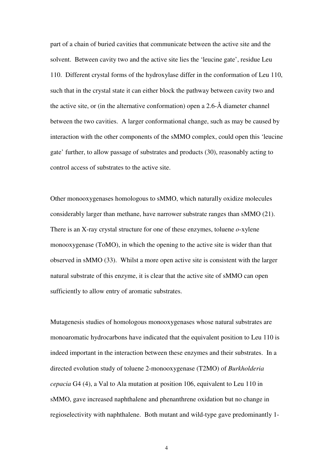part of a chain of buried cavities that communicate between the active site and the solvent. Between cavity two and the active site lies the 'leucine gate', residue Leu 110. Different crystal forms of the hydroxylase differ in the conformation of Leu 110, such that in the crystal state it can either block the pathway between cavity two and the active site, or (in the alternative conformation) open a 2.6-Å diameter channel between the two cavities. A larger conformational change, such as may be caused by interaction with the other components of the sMMO complex, could open this 'leucine gate' further, to allow passage of substrates and products (30), reasonably acting to control access of substrates to the active site.

Other monooxygenases homologous to sMMO, which naturally oxidize molecules considerably larger than methane, have narrower substrate ranges than sMMO (21). There is an X-ray crystal structure for one of these enzymes, toluene *o*-xylene monooxygenase (ToMO), in which the opening to the active site is wider than that observed in sMMO (33). Whilst a more open active site is consistent with the larger natural substrate of this enzyme, it is clear that the active site of sMMO can open sufficiently to allow entry of aromatic substrates.

Mutagenesis studies of homologous monooxygenases whose natural substrates are monoaromatic hydrocarbons have indicated that the equivalent position to Leu 110 is indeed important in the interaction between these enzymes and their substrates. In a directed evolution study of toluene 2-monooxygenase (T2MO) of *Burkholderia cepacia* G4 (4), a Val to Ala mutation at position 106, equivalent to Leu 110 in sMMO, gave increased naphthalene and phenanthrene oxidation but no change in regioselectivity with naphthalene. Both mutant and wild-type gave predominantly 1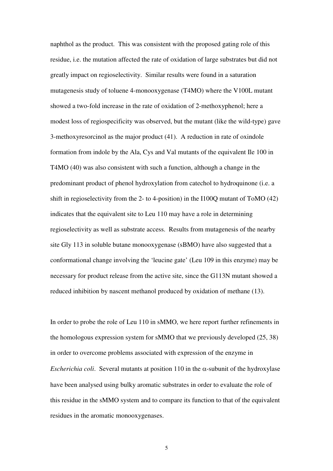naphthol as the product. This was consistent with the proposed gating role of this residue, i.e. the mutation affected the rate of oxidation of large substrates but did not greatly impact on regioselectivity. Similar results were found in a saturation mutagenesis study of toluene 4-monooxygenase (T4MO) where the V100L mutant showed a two-fold increase in the rate of oxidation of 2-methoxyphenol; here a modest loss of regiospecificity was observed, but the mutant (like the wild-type) gave 3-methoxyresorcinol as the major product (41). A reduction in rate of oxindole formation from indole by the Ala, Cys and Val mutants of the equivalent Ile 100 in T4MO (40) was also consistent with such a function, although a change in the predominant product of phenol hydroxylation from catechol to hydroquinone (i.e. a shift in regioselectivity from the 2- to 4-position) in the I100Q mutant of ToMO (42) indicates that the equivalent site to Leu 110 may have a role in determining regioselectivity as well as substrate access. Results from mutagenesis of the nearby site Gly 113 in soluble butane monooxygenase (sBMO) have also suggested that a conformational change involving the 'leucine gate' (Leu 109 in this enzyme) may be necessary for product release from the active site, since the G113N mutant showed a reduced inhibition by nascent methanol produced by oxidation of methane (13).

In order to probe the role of Leu 110 in sMMO, we here report further refinements in the homologous expression system for sMMO that we previously developed (25, 38) in order to overcome problems associated with expression of the enzyme in *Escherichia coli.* Several mutants at position 110 in the  $\alpha$ -subunit of the hydroxylase have been analysed using bulky aromatic substrates in order to evaluate the role of this residue in the sMMO system and to compare its function to that of the equivalent residues in the aromatic monooxygenases.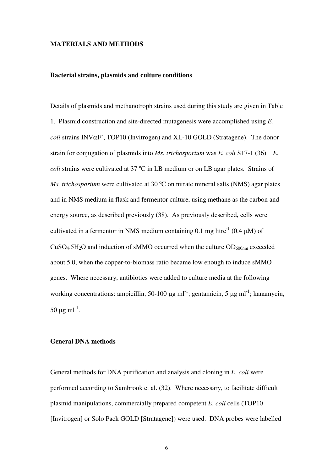#### **MATERIALS AND METHODS**

#### **Bacterial strains, plasmids and culture conditions**

Details of plasmids and methanotroph strains used during this study are given in Table 1. Plasmid construction and site-directed mutagenesis were accomplished using *E. coli* strains INVαF', TOP10 (Invitrogen) and XL-10 GOLD (Stratagene). The donor strain for conjugation of plasmids into *Ms. trichosporium* was *E. coli* S17-1 (36). *E. coli* strains were cultivated at 37 ºC in LB medium or on LB agar plates. Strains of *Ms. trichosporium* were cultivated at 30 °C on nitrate mineral salts (NMS) agar plates and in NMS medium in flask and fermentor culture, using methane as the carbon and energy source, as described previously (38). As previously described, cells were cultivated in a fermentor in NMS medium containing 0.1 mg litre<sup>-1</sup> (0.4  $\mu$ M) of  $CuSO<sub>4</sub>.5H<sub>2</sub>O$  and induction of sMMO occurred when the culture  $OD<sub>600nm</sub>$  exceeded about 5.0, when the copper-to-biomass ratio became low enough to induce sMMO genes. Where necessary, antibiotics were added to culture media at the following working concentrations: ampicillin, 50-100  $\mu$ g ml<sup>-1</sup>; gentamicin, 5  $\mu$ g ml<sup>-1</sup>; kanamycin,  $50 \mu g$  ml<sup>-1</sup>.

### **General DNA methods**

General methods for DNA purification and analysis and cloning in *E. coli* were performed according to Sambrook et al. (32). Where necessary, to facilitate difficult plasmid manipulations, commercially prepared competent *E. coli* cells (TOP10 [Invitrogen] or Solo Pack GOLD [Stratagene]) were used. DNA probes were labelled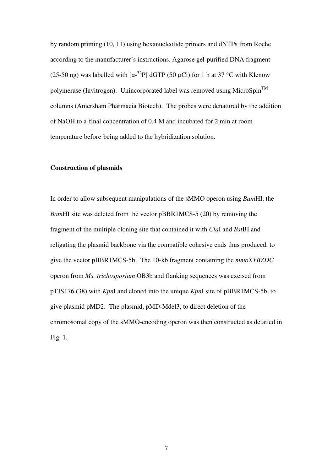by random priming (10, 11) using hexanucleotide primers and dNTPs from Roche according to the manufacturer's instructions. Agarose gel-purified DNA fragment (25-50 ng) was labelled with  $\left[\alpha^{-32}P\right]$  dGTP (50  $\mu$ Ci) for 1 h at 37 °C with Klenow polymerase (Invitrogen). Unincorporated label was removed using MicroSpin<sup>TM</sup> columns (Amersham Pharmacia Biotech). The probes were denatured by the addition of NaOH to a final concentration of 0.4 M and incubated for 2 min at room temperature before being added to the hybridization solution.

### **Construction of plasmids**

In order to allow subsequent manipulations of the sMMO operon using *Bam*HI, the *Bam*HI site was deleted from the vector pBBR1MCS-5 (20) by removing the fragment of the multiple cloning site that contained it with *Cla*I and *Bst*BI and religating the plasmid backbone via the compatible cohesive ends thus produced, to give the vector pBBR1MCS-5b. The 10-kb fragment containing the *mmoXYBZDC* operon from *Ms. trichosporium* OB3b and flanking sequences was excised from pTJS176 (38) with *Kpn*I and cloned into the unique *Kpn*I site of pBBR1MCS-5b, to give plasmid pMD2. The plasmid, pMD-Mdel3, to direct deletion of the chromosomal copy of the sMMO-encoding operon was then constructed as detailed in Fig. 1.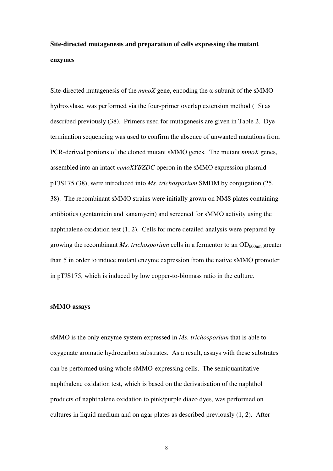## **Site-directed mutagenesis and preparation of cells expressing the mutant enzymes**

Site-directed mutagenesis of the  $m \nu N$  gene, encoding the  $\alpha$ -subunit of the sMMO hydroxylase, was performed via the four-primer overlap extension method (15) as described previously (38). Primers used for mutagenesis are given in Table 2. Dye termination sequencing was used to confirm the absence of unwanted mutations from PCR-derived portions of the cloned mutant sMMO genes. The mutant *mmoX* genes, assembled into an intact *mmoXYBZDC* operon in the sMMO expression plasmid pTJS175 (38), were introduced into *Ms. trichosporium* SMDM by conjugation (25, 38). The recombinant sMMO strains were initially grown on NMS plates containing antibiotics (gentamicin and kanamycin) and screened for sMMO activity using the naphthalene oxidation test (1, 2). Cells for more detailed analysis were prepared by growing the recombinant *Ms. trichosporium* cells in a fermentor to an  $OD_{600nm}$  greater than 5 in order to induce mutant enzyme expression from the native sMMO promoter in pTJS175, which is induced by low copper-to-biomass ratio in the culture.

#### **sMMO assays**

sMMO is the only enzyme system expressed in *Ms. trichosporium* that is able to oxygenate aromatic hydrocarbon substrates. As a result, assays with these substrates can be performed using whole sMMO-expressing cells. The semiquantitative naphthalene oxidation test, which is based on the derivatisation of the naphthol products of naphthalene oxidation to pink/purple diazo dyes, was performed on cultures in liquid medium and on agar plates as described previously (1, 2). After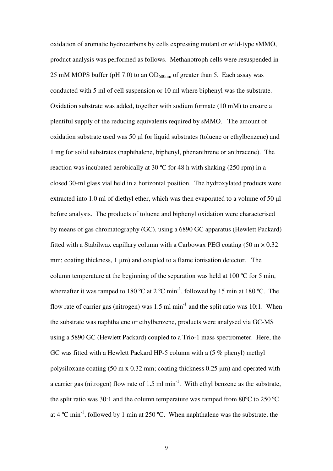oxidation of aromatic hydrocarbons by cells expressing mutant or wild-type sMMO, product analysis was performed as follows. Methanotroph cells were resuspended in 25 mM MOPS buffer (pH 7.0) to an  $OD_{600nm}$  of greater than 5. Each assay was conducted with 5 ml of cell suspension or 10 ml where biphenyl was the substrate. Oxidation substrate was added, together with sodium formate (10 mM) to ensure a plentiful supply of the reducing equivalents required by sMMO. The amount of oxidation substrate used was 50 µl for liquid substrates (toluene or ethylbenzene) and 1 mg for solid substrates (naphthalene, biphenyl, phenanthrene or anthracene). The reaction was incubated aerobically at 30 ºC for 48 h with shaking (250 rpm) in a closed 30-ml glass vial held in a horizontal position. The hydroxylated products were extracted into 1.0 ml of diethyl ether, which was then evaporated to a volume of 50  $\mu$ l before analysis. The products of toluene and biphenyl oxidation were characterised by means of gas chromatography (GC), using a 6890 GC apparatus (Hewlett Packard) fitted with a Stabilwax capillary column with a Carbowax PEG coating  $(50 \text{ m} \times 0.32)$ mm; coating thickness, 1 µm) and coupled to a flame ionisation detector. The column temperature at the beginning of the separation was held at 100 ºC for 5 min, whereafter it was ramped to 180 °C at 2 °C min<sup>-1</sup>, followed by 15 min at 180 °C. The flow rate of carrier gas (nitrogen) was  $1.5$  ml min<sup>-1</sup> and the split ratio was  $10:1$ . When the substrate was naphthalene or ethylbenzene, products were analysed via GC-MS using a 5890 GC (Hewlett Packard) coupled to a Trio-1 mass spectrometer. Here, the GC was fitted with a Hewlett Packard HP-5 column with a (5 % phenyl) methyl polysiloxane coating (50 m x 0.32 mm; coating thickness 0.25 µm) and operated with a carrier gas (nitrogen) flow rate of 1.5 ml min<sup>-1</sup>. With ethyl benzene as the substrate, the split ratio was 30:1 and the column temperature was ramped from 80ºC to 250 ºC at 4  $^{\circ}$ C min<sup>-1</sup>, followed by 1 min at 250  $^{\circ}$ C. When naphthalene was the substrate, the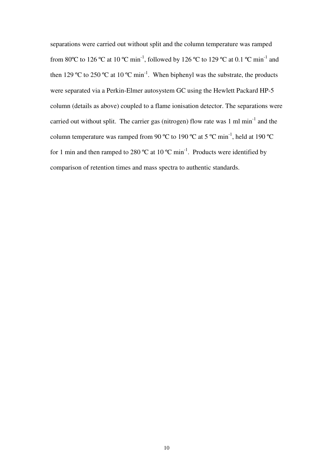separations were carried out without split and the column temperature was ramped from 80°C to 126 °C at 10 °C min<sup>-1</sup>, followed by 126 °C to 129 °C at 0.1 °C min<sup>-1</sup> and then 129 °C to 250 °C at 10 °C min<sup>-1</sup>. When biphenyl was the substrate, the products were separated via a Perkin-Elmer autosystem GC using the Hewlett Packard HP-5 column (details as above) coupled to a flame ionisation detector. The separations were carried out without split. The carrier gas (nitrogen) flow rate was  $1 \text{ ml min}^{-1}$  and the column temperature was ramped from 90 °C to 190 °C at 5 °C min<sup>-1</sup>, held at 190 °C for 1 min and then ramped to 280 °C at 10 °C min<sup>-1</sup>. Products were identified by comparison of retention times and mass spectra to authentic standards.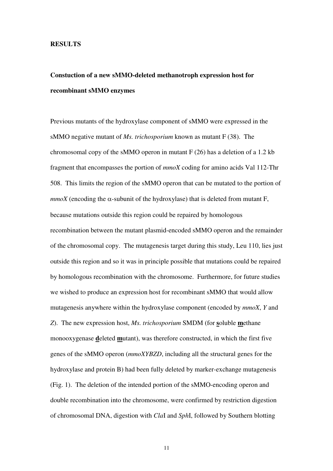### **RESULTS**

### **Constuction of a new sMMO-deleted methanotroph expression host for recombinant sMMO enzymes**

Previous mutants of the hydroxylase component of sMMO were expressed in the sMMO negative mutant of *Ms. trichosporium* known as mutant F (38). The chromosomal copy of the sMMO operon in mutant F (26) has a deletion of a 1.2 kb fragment that encompasses the portion of *mmoX* coding for amino acids Val 112-Thr 508. This limits the region of the sMMO operon that can be mutated to the portion of *mmoX* (encoding the  $\alpha$ -subunit of the hydroxylase) that is deleted from mutant F, because mutations outside this region could be repaired by homologous recombination between the mutant plasmid-encoded sMMO operon and the remainder of the chromosomal copy. The mutagenesis target during this study, Leu 110, lies just outside this region and so it was in principle possible that mutations could be repaired by homologous recombination with the chromosome. Furthermore, for future studies we wished to produce an expression host for recombinant sMMO that would allow mutagenesis anywhere within the hydroxylase component (encoded by *mmoX*, *Y* and *Z*). The new expression host, *Ms. trichosporium* SMDM (for **s**oluble **m**ethane monooxygenase **d**eleted **m**utant), was therefore constructed, in which the first five genes of the sMMO operon (*mmoXYBZD*, including all the structural genes for the hydroxylase and protein B) had been fully deleted by marker-exchange mutagenesis (Fig. 1). The deletion of the intended portion of the sMMO-encoding operon and double recombination into the chromosome, were confirmed by restriction digestion of chromosomal DNA, digestion with *Cla*I and *Sph*I, followed by Southern blotting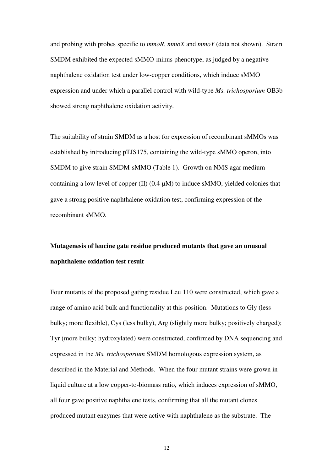and probing with probes specific to *mmoR*, *mmoX* and *mmoY* (data not shown). Strain SMDM exhibited the expected sMMO-minus phenotype, as judged by a negative naphthalene oxidation test under low-copper conditions, which induce sMMO expression and under which a parallel control with wild-type *Ms. trichosporium* OB3b showed strong naphthalene oxidation activity.

The suitability of strain SMDM as a host for expression of recombinant sMMOs was established by introducing pTJS175, containing the wild-type sMMO operon, into SMDM to give strain SMDM-sMMO (Table 1). Growth on NMS agar medium containing a low level of copper  $(II)$   $(0.4 \mu M)$  to induce sMMO, yielded colonies that gave a strong positive naphthalene oxidation test, confirming expression of the recombinant sMMO.

### **Mutagenesis of leucine gate residue produced mutants that gave an unusual naphthalene oxidation test result**

Four mutants of the proposed gating residue Leu 110 were constructed, which gave a range of amino acid bulk and functionality at this position. Mutations to Gly (less bulky; more flexible), Cys (less bulky), Arg (slightly more bulky; positively charged); Tyr (more bulky; hydroxylated) were constructed, confirmed by DNA sequencing and expressed in the *Ms. trichosporium* SMDM homologous expression system, as described in the Material and Methods. When the four mutant strains were grown in liquid culture at a low copper-to-biomass ratio, which induces expression of sMMO, all four gave positive naphthalene tests, confirming that all the mutant clones produced mutant enzymes that were active with naphthalene as the substrate. The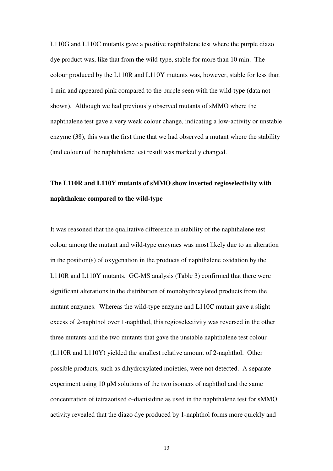L110G and L110C mutants gave a positive naphthalene test where the purple diazo dye product was, like that from the wild-type, stable for more than 10 min. The colour produced by the L110R and L110Y mutants was, however, stable for less than 1 min and appeared pink compared to the purple seen with the wild-type (data not shown). Although we had previously observed mutants of sMMO where the naphthalene test gave a very weak colour change, indicating a low-activity or unstable enzyme (38), this was the first time that we had observed a mutant where the stability (and colour) of the naphthalene test result was markedly changed.

### **The L110R and L110Y mutants of sMMO show inverted regioselectivity with naphthalene compared to the wild-type**

It was reasoned that the qualitative difference in stability of the naphthalene test colour among the mutant and wild-type enzymes was most likely due to an alteration in the position(s) of oxygenation in the products of naphthalene oxidation by the L110R and L110Y mutants. GC-MS analysis (Table 3) confirmed that there were significant alterations in the distribution of monohydroxylated products from the mutant enzymes. Whereas the wild-type enzyme and L110C mutant gave a slight excess of 2-naphthol over 1-naphthol, this regioselectivity was reversed in the other three mutants and the two mutants that gave the unstable naphthalene test colour (L110R and L110Y) yielded the smallest relative amount of 2-naphthol. Other possible products, such as dihydroxylated moieties, were not detected. A separate experiment using 10  $\mu$ M solutions of the two isomers of naphthol and the same concentration of tetrazotised o-dianisidine as used in the naphthalene test for sMMO activity revealed that the diazo dye produced by 1-naphthol forms more quickly and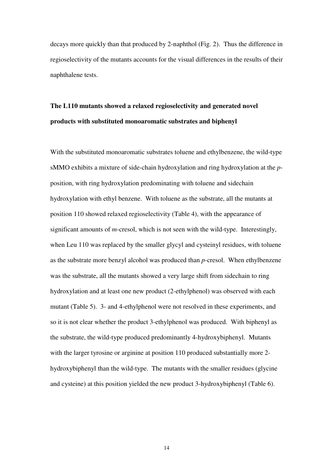decays more quickly than that produced by 2-naphthol (Fig. 2). Thus the difference in regioselectivity of the mutants accounts for the visual differences in the results of their naphthalene tests.

### **The L110 mutants showed a relaxed regioselectivity and generated novel products with substituted monoaromatic substrates and biphenyl**

With the substituted monoaromatic substrates toluene and ethylbenzene, the wild-type sMMO exhibits a mixture of side-chain hydroxylation and ring hydroxylation at the *p*position, with ring hydroxylation predominating with toluene and sidechain hydroxylation with ethyl benzene. With toluene as the substrate, all the mutants at position 110 showed relaxed regioselectivity (Table 4), with the appearance of significant amounts of *m*-cresol, which is not seen with the wild-type. Interestingly, when Leu 110 was replaced by the smaller glycyl and cysteinyl residues, with toluene as the substrate more benzyl alcohol was produced than *p*-cresol. When ethylbenzene was the substrate, all the mutants showed a very large shift from sidechain to ring hydroxylation and at least one new product (2-ethylphenol) was observed with each mutant (Table 5). 3- and 4-ethylphenol were not resolved in these experiments, and so it is not clear whether the product 3-ethylphenol was produced. With biphenyl as the substrate, the wild-type produced predominantly 4-hydroxybiphenyl. Mutants with the larger tyrosine or arginine at position 110 produced substantially more 2 hydroxybiphenyl than the wild-type. The mutants with the smaller residues (glycine and cysteine) at this position yielded the new product 3-hydroxybiphenyl (Table 6).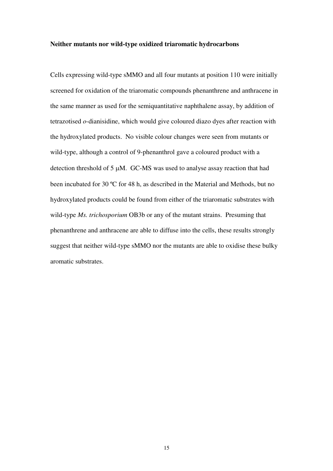#### **Neither mutants nor wild-type oxidized triaromatic hydrocarbons**

Cells expressing wild-type sMMO and all four mutants at position 110 were initially screened for oxidation of the triaromatic compounds phenanthrene and anthracene in the same manner as used for the semiquantitative naphthalene assay, by addition of tetrazotised *o*-dianisidine, which would give coloured diazo dyes after reaction with the hydroxylated products. No visible colour changes were seen from mutants or wild-type, although a control of 9-phenanthrol gave a coloured product with a detection threshold of 5 µM. GC-MS was used to analyse assay reaction that had been incubated for 30 ºC for 48 h, as described in the Material and Methods, but no hydroxylated products could be found from either of the triaromatic substrates with wild-type *Ms. trichosporium* OB3b or any of the mutant strains. Presuming that phenanthrene and anthracene are able to diffuse into the cells, these results strongly suggest that neither wild-type sMMO nor the mutants are able to oxidise these bulky aromatic substrates.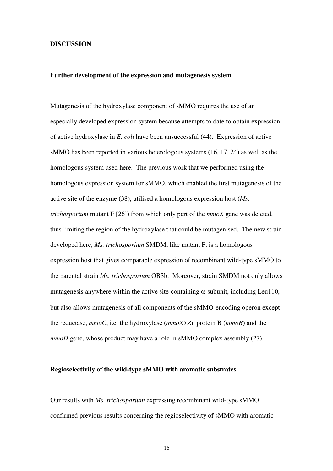### **DISCUSSION**

#### **Further development of the expression and mutagenesis system**

Mutagenesis of the hydroxylase component of sMMO requires the use of an especially developed expression system because attempts to date to obtain expression of active hydroxylase in *E. coli* have been unsuccessful (44). Expression of active sMMO has been reported in various heterologous systems (16, 17, 24) as well as the homologous system used here. The previous work that we performed using the homologous expression system for sMMO, which enabled the first mutagenesis of the active site of the enzyme (38), utilised a homologous expression host (*Ms. trichosporium* mutant F [26]) from which only part of the *mmoX* gene was deleted, thus limiting the region of the hydroxylase that could be mutagenised. The new strain developed here, *Ms. trichosporium* SMDM, like mutant F, is a homologous expression host that gives comparable expression of recombinant wild-type sMMO to the parental strain *Ms. trichosporium* OB3b. Moreover, strain SMDM not only allows mutagenesis anywhere within the active site-containing  $\alpha$ -subunit, including Leu110, but also allows mutagenesis of all components of the sMMO-encoding operon except the reductase, *mmoC*, i.e. the hydroxylase (*mmoXYZ*), protein B (*mmoB*) and the *mmoD* gene, whose product may have a role in sMMO complex assembly (27).

### **Regioselectivity of the wild-type sMMO with aromatic substrates**

Our results with *Ms. trichosporium* expressing recombinant wild-type sMMO confirmed previous results concerning the regioselectivity of sMMO with aromatic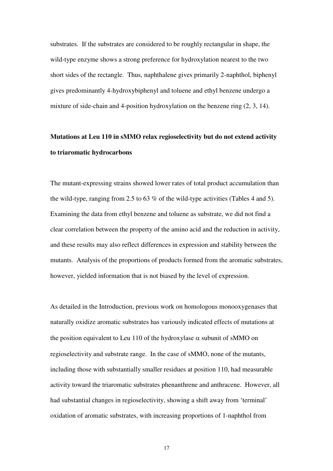substrates. If the substrates are considered to be roughly rectangular in shape, the wild-type enzyme shows a strong preference for hydroxylation nearest to the two short sides of the rectangle. Thus, naphthalene gives primarily 2-naphthol, biphenyl gives predominantly 4-hydroxybiphenyl and toluene and ethyl benzene undergo a mixture of side-chain and 4-position hydroxylation on the benzene ring (2, 3, 14).

### **Mutations at Leu 110 in sMMO relax regioselectivity but do not extend activity to triaromatic hydrocarbons**

The mutant-expressing strains showed lower rates of total product accumulation than the wild-type, ranging from 2.5 to 63 % of the wild-type activities (Tables 4 and 5). Examining the data from ethyl benzene and toluene as substrate, we did not find a clear correlation between the property of the amino acid and the reduction in activity, and these results may also reflect differences in expression and stability between the mutants. Analysis of the proportions of products formed from the aromatic substrates, however, yielded information that is not biased by the level of expression.

As detailed in the Introduction, previous work on homologous monooxygenases that naturally oxidize aromatic substrates has variously indicated effects of mutations at the position equivalent to Leu 110 of the hydroxylase  $\alpha$  subunit of sMMO on regioselectivity and substrate range. In the case of sMMO, none of the mutants, including those with substantially smaller residues at position 110, had measurable activity toward the triaromatic substrates phenanthrene and anthracene. However, all had substantial changes in regioselectivity, showing a shift away from 'terminal' oxidation of aromatic substrates, with increasing proportions of 1-naphthol from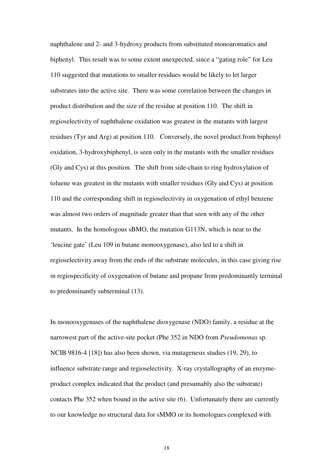naphthalene and 2- and 3-hydroxy products from substituted monoaromatics and biphenyl. This result was to some extent unexpected, since a "gating role" for Leu 110 suggested that mutations to smaller residues would be likely to let larger substrates into the active site. There was some correlation between the changes in product distribution and the size of the residue at position 110. The shift in regioselectivity of naphthalene oxidation was greatest in the mutants with largest residues (Tyr and Arg) at position 110. Conversely, the novel product from biphenyl oxidation, 3-hydroxybiphenyl, is seen only in the mutants with the smaller residues (Gly and Cys) at this position. The shift from side-chain to ring hydroxylation of toluene was greatest in the mutants with smaller residues (Gly and Cys) at position 110 and the corresponding shift in regioselectivity in oxygenation of ethyl benzene was almost two orders of magnitude greater than that seen with any of the other mutants. In the homologous sBMO, the mutation G113N, which is near to the 'leucine gate' (Leu 109 in butane monooxygenase), also led to a shift in regioselectivity away from the ends of the substrate molecules, in this case giving rise in regiospecificity of oxygenation of butane and propane from predominantly terminal to predominantly subterminal (13).

In monooxygenases of the naphthalene dioxygenase (NDO) family, a residue at the narrowest part of the active-site pocket (Phe 352 in NDO from *Pseudomonas* sp. NCIB 9816-4 [18]) has also been shown, via mutagenesis studies (19, 29), to influence substrate range and regioselectivity. X-ray crystallography of an enzymeproduct complex indicated that the product (and presumably also the substrate) contacts Phe 352 when bound in the active site (6). Unfortunately there are currently to our knowledge no structural data for sMMO or its homologues complexed with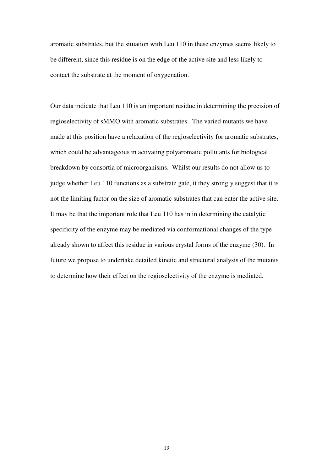aromatic substrates, but the situation with Leu 110 in these enzymes seems likely to be different, since this residue is on the edge of the active site and less likely to contact the substrate at the moment of oxygenation.

Our data indicate that Leu 110 is an important residue in determining the precision of regioselectivity of sMMO with aromatic substrates. The varied mutants we have made at this position have a relaxation of the regioselectivity for aromatic substrates, which could be advantageous in activating polyaromatic pollutants for biological breakdown by consortia of microorganisms. Whilst our results do not allow us to judge whether Leu 110 functions as a substrate gate, it they strongly suggest that it is not the limiting factor on the size of aromatic substrates that can enter the active site. It may be that the important role that Leu 110 has in in determining the catalytic specificity of the enzyme may be mediated via conformational changes of the type already shown to affect this residue in various crystal forms of the enzyme (30). In future we propose to undertake detailed kinetic and structural analysis of the mutants to determine how their effect on the regioselectivity of the enzyme is mediated.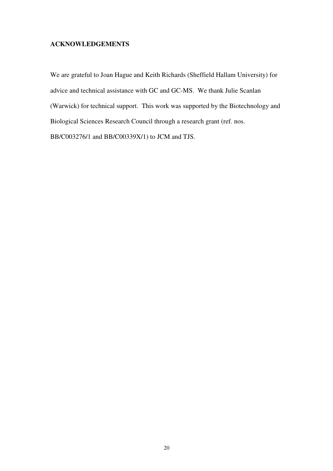### **ACKNOWLEDGEMENTS**

We are grateful to Joan Hague and Keith Richards (Sheffield Hallam University) for advice and technical assistance with GC and GC-MS. We thank Julie Scanlan (Warwick) for technical support. This work was supported by the Biotechnology and Biological Sciences Research Council through a research grant (ref. nos. BB/C003276/1 and BB/C00339X/1) to JCM and TJS.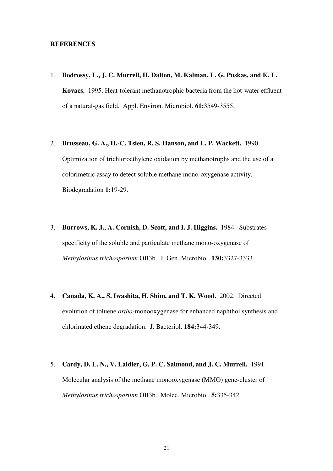#### **REFERENCES**

- 1. **Bodrossy, L., J. C. Murrell, H. Dalton, M. Kalman, L. G. Puskas, and K. L. Kovacs.** 1995. Heat-tolerant methanotrophic bacteria from the hot-water effluent of a natural-gas field. Appl. Environ. Microbiol. **61:**3549-3555.
- 2. **Brusseau, G. A., H.-C. Tsien, R. S. Hanson, and L. P. Wackett.** 1990. Optimization of trichloroethylene oxidation by methanotrophs and the use of a colorimetric assay to detect soluble methane mono-oxygenase activity. Biodegradation **1:**19-29.
- 3. **Burrows, K. J., A. Cornish, D. Scott, and I. J. Higgins.** 1984. Substrates specificity of the soluble and particulate methane mono-oxygenase of *Methylosinus trichosporium* OB3b. J. Gen. Microbiol. **130:**3327-3333.
- 4. **Canada, K. A., S. Iwashita, H. Shim, and T. K. Wood.** 2002. Directed evolution of toluene *ortho*-monooxygenase for enhanced naphthol synthesis and chlorinated ethene degradation. J. Bacteriol. **184:**344-349.
- 5. **Cardy, D. L. N., V. Laidler, G. P. C. Salmond, and J. C. Murrell.** 1991. Molecular analysis of the methane monooxygenase (MMO) gene-cluster of *Methylosinus trichosporium* OB3b. Molec. Microbiol. **5:**335-342.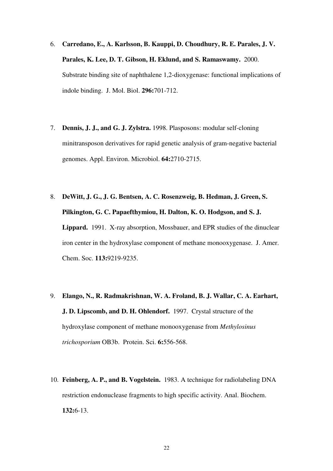- 6. **Carredano, E., A. Karlsson, B. Kauppi, D. Choudhury, R. E. Parales, J. V. Parales, K. Lee, D. T. Gibson, H. Eklund, and S. Ramaswamy.** 2000. Substrate binding site of naphthalene 1,2-dioxygenase: functional implications of indole binding. J. Mol. Biol. **296:**701-712.
- 7. **Dennis, J. J., and G. J. Zylstra.** 1998. Plasposons: modular self-cloning minitransposon derivatives for rapid genetic analysis of gram-negative bacterial genomes. Appl. Environ. Microbiol. **64:**2710-2715.
- 8. **DeWitt, J. G., J. G. Bentsen, A. C. Rosenzweig, B. Hedman, J. Green, S. Pilkington, G. C. Papaefthymiou, H. Dalton, K. O. Hodgson, and S. J. Lippard.** 1991. X-ray absorption, Mossbauer, and EPR studies of the dinuclear iron center in the hydroxylase component of methane monooxygenase. J. Amer. Chem. Soc. **113:**9219-9235.
- 9. **Elango, N., R. Radmakrishnan, W. A. Froland, B. J. Wallar, C. A. Earhart, J. D. Lipscomb, and D. H. Ohlendorf.** 1997. Crystal structure of the hydroxylase component of methane monooxygenase from *Methylosinus trichosporium* OB3b. Protein. Sci. **6:**556-568.
- 10. **Feinberg, A. P., and B. Vogelstein.** 1983. A technique for radiolabeling DNA restriction endonuclease fragments to high specific activity. Anal. Biochem. **132:**6-13.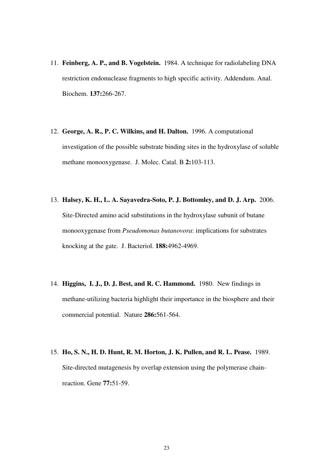- 11. **Feinberg, A. P., and B. Vogelstein.** 1984. A technique for radiolabeling DNA restriction endonuclease fragments to high specific activity. Addendum. Anal. Biochem. **137:**266-267.
- 12. **George, A. R., P. C. Wilkins, and H. Dalton.** 1996. A computational investigation of the possible substrate binding sites in the hydroxylase of soluble methane monooxygenase. J. Molec. Catal. B **2:**103-113.
- 13. **Halsey, K. H., L. A. Sayavedra-Soto, P. J. Bottomley, and D. J. Arp.** 2006. Site-Directed amino acid substitutions in the hydroxylase subunit of butane monooxygenase from *Pseudomonas butanovora*: implications for substrates knocking at the gate. J. Bacteriol. **188:**4962-4969.
- 14. **Higgins, I. J., D. J. Best, and R. C. Hammond.** 1980. New findings in methane-utilizing bacteria highlight their importance in the biosphere and their commercial potential. Nature **286:**561-564.
- 15. **Ho, S. N., H. D. Hunt, R. M. Horton, J. K. Pullen, and R. L. Pease.** 1989. Site-directed mutagenesis by overlap extension using the polymerase chainreaction. Gene **77:**51-59.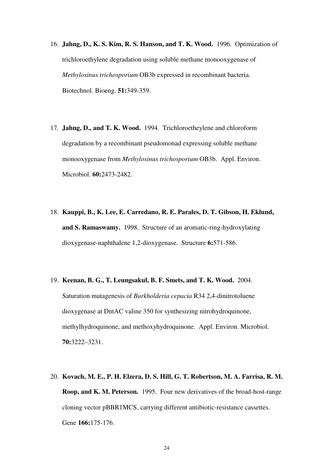- 16. **Jahng, D., K. S. Kim, R. S. Hanson, and T. K. Wood.** 1996. Optimization of trichloroethylene degradation using soluble methane monooxygenase of *Methylosinus trichosporium* OB3b expressed in recombinant bacteria. Biotechnol. Bioeng. **51:**349-359.
- 17. **Jahng, D., and T. K. Wood.** 1994. Trichloroetheylene and chloroform degradation by a recombinant pseudomonad expressing soluble methane monooxygenase from *Methylosinus trichosporium* OB3b. Appl. Environ. Microbiol. **60:**2473-2482.
- 18. **Kauppi, B., K. Lee, E. Carredano, R. E. Parales, D. T. Gibson, H. Eklund, and S. Ramaswamy.** 1998. Structure of an aromatic-ring-hydroxylating dioxygenase-naphthalene 1,2-dioxygenase. Structure **6:**571-586.
- 19. **Keenan, B. G., T. Leungsakul, B. F. Smets, and T. K. Wood.** 2004. Saturation mutagenesis of *Burkholderia cepacia* R34 2,4-dinitrotoluene dioxygenase at DntAC valine 350 for synthesizing nitrohydroquinone, methylhydroquinone, and methoxyhydroquinone. Appl. Environ. Microbiol. **70:**3222–3231.
- 20. **Kovach, M. E., P. H. Elzera, D. S. Hill, G. T. Robertson, M. A. Farrisa, R. M. Roop, and K. M. Peterson.** 1995. Four new derivatives of the broad-host-range cloning vector pBBR1MCS, carrying different antibiotic-resistance cassettes. Gene **166:**175-176.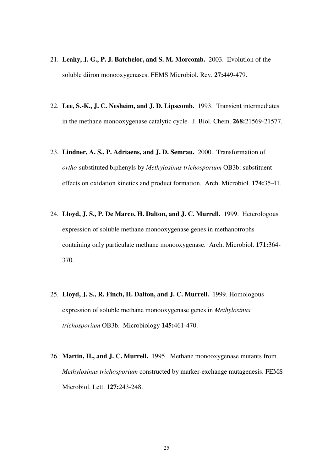- 21. **Leahy, J. G., P. J. Batchelor, and S. M. Morcomb.** 2003. Evolution of the soluble diiron monooxygenases. FEMS Microbiol. Rev. **27:**449-479.
- 22. **Lee, S.-K., J. C. Nesheim, and J. D. Lipscomb.** 1993. Transient intermediates in the methane monooxygenase catalytic cycle. J. Biol. Chem. **268:**21569-21577.
- 23. **Lindner, A. S., P. Adriaens, and J. D. Semrau.** 2000. Transformation of *ortho*-substituted biphenyls by *Methylosinus trichosporium* OB3b: substituent effects on oxidation kinetics and product formation. Arch. Microbiol. **174:**35-41.
- 24. **Lloyd, J. S., P. De Marco, H. Dalton, and J. C. Murrell.** 1999.Heterologous expression of soluble methane monooxygenase genes in methanotrophs containing only particulate methane monooxygenase. Arch. Microbiol. **171:**364- 370.
- 25. **Lloyd, J. S., R. Finch, H. Dalton, and J. C. Murrell.** 1999. Homologous expression of soluble methane monooxygenase genes in *Methylosinus trichosporium* OB3b. Microbiology **145:**461-470.
- 26. **Martin, H., and J. C. Murrell.** 1995. Methane monooxygenase mutants from *Methylosinus trichosporium* constructed by marker-exchange mutagenesis. FEMS Microbiol. Lett. **127:**243-248.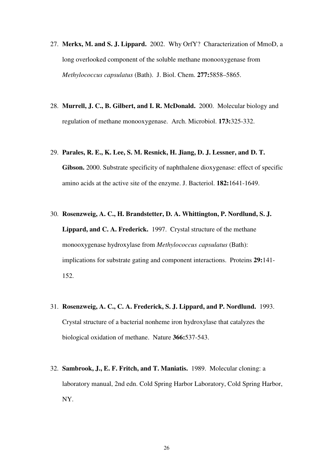- 27. **Merkx, M. and S. J. Lippard.** 2002. Why OrfY? Characterization of MmoD, a long overlooked component of the soluble methane monooxygenase from *Methylococcus capsulatus* (Bath). J. Biol. Chem. **277:**5858–5865.
- 28. **Murrell, J. C., B. Gilbert, and I. R. McDonald.** 2000. Molecular biology and regulation of methane monooxygenase. Arch. Microbiol. **173:**325-332.
- 29. **Parales, R. E., K. Lee, S. M. Resnick, H. Jiang, D. J. Lessner, and D. T. Gibson.** 2000. Substrate specificity of naphthalene dioxygenase: effect of specific amino acids at the active site of the enzyme. J. Bacteriol. **182:**1641-1649.
- 30. **Rosenzweig, A. C., H. Brandstetter, D. A. Whittington, P. Nordlund, S. J. Lippard, and C. A. Frederick.** 1997. Crystal structure of the methane monooxygenase hydroxylase from *Methylococcus capsulatus* (Bath): implications for substrate gating and component interactions. Proteins **29:**141- 152.
- 31. **Rosenzweig, A. C., C. A. Frederick, S. J. Lippard, and P. Nordlund.** 1993. Crystal structure of a bacterial nonheme iron hydroxylase that catalyzes the biological oxidation of methane. Nature **366:**537-543.
- 32. **Sambrook, J., E. F. Fritch, and T. Maniatis.** 1989. Molecular cloning: a laboratory manual, 2nd edn. Cold Spring Harbor Laboratory, Cold Spring Harbor, NY.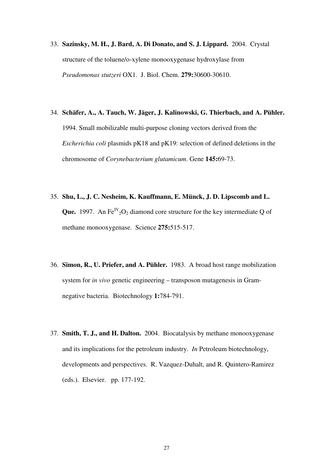- 33. **Sazinsky, M. H., J. Bard, A. Di Donato, and S. J. Lippard.** 2004. Crystal structure of the toluene/o-xylene monooxygenase hydroxylase from *Pseudomonas stutzeri* OX1. J. Biol. Chem. **279:**30600-30610.
- 34. **Schäfer, A., A. Tauch, W. Jäger, J. Kalinowski, G. Thierbach, and A. Pühler.**  1994. Small mobilizable multi-purpose cloning vectors derived from the *Escherichia coli* plasmids pK18 and pK19: selection of defined deletions in the chromosome of *Corynebacterium glutamicum*. Gene **145:**69-73.
- 35. **Shu, L., J. C. Nesheim, K. Kauffmann, E. Münck, J. D. Lipscomb and L. Que.** 1997. An  $Fe^{IV}{}_{2}O_{2}$  diamond core structure for the key intermediate Q of methane monooxygenase. Science **275:**515-517.
- 36. **Simon, R., U. Priefer, and A. Pühler.** 1983. A broad host range mobilization system for *in vivo* genetic engineering – transposon mutagenesis in Gramnegative bacteria. Biotechnology **1:**784-791.
- 37. **Smith, T. J., and H. Dalton.** 2004. Biocatalysis by methane monooxygenase and its implications for the petroleum industry. *In* Petroleum biotechnology, developments and perspectives. R. Vazquez-Duhalt, and R. Quintero-Ramirez (eds.). Elsevier. pp. 177-192.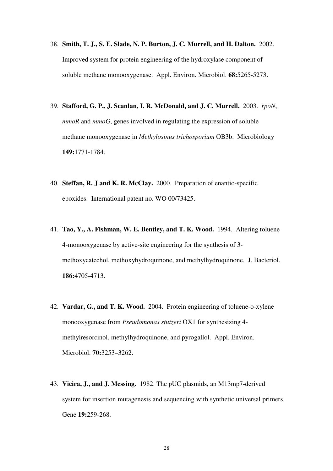- 38. **Smith, T. J., S. E. Slade, N. P. Burton, J. C. Murrell, and H. Dalton.** 2002. Improved system for protein engineering of the hydroxylase component of soluble methane monooxygenase. Appl. Environ. Microbiol. **68:**5265-5273.
- 39. **Stafford, G. P., J. Scanlan, I. R. McDonald, and J. C. Murrell.** 2003. *rpoN*, *mmoR* and *mmoG*, genes involved in regulating the expression of soluble methane monooxygenase in *Methylosinus trichosporium* OB3b. Microbiology **149:**1771-1784.
- 40. **Steffan, R. J and K. R. McClay.** 2000. Preparation of enantio-specific epoxides. International patent no. WO 00/73425.
- 41. **Tao, Y., A. Fishman, W. E. Bentley, and T. K. Wood.** 1994. Altering toluene 4-monooxygenase by active-site engineering for the synthesis of 3 methoxycatechol, methoxyhydroquinone, and methylhydroquinone. J. Bacteriol. **186:**4705-4713.
- 42. **Vardar, G., and T. K. Wood.** 2004. Protein engineering of toluene-o-xylene monooxygenase from *Pseudomonas stutzeri* OX1 for synthesizing 4 methylresorcinol, methylhydroquinone, and pyrogallol. Appl. Environ. Microbiol. **70:**3253–3262.
- 43. **Vieira, J., and J. Messing.** 1982. The pUC plasmids, an M13mp7-derived system for insertion mutagenesis and sequencing with synthetic universal primers. Gene **19:**259-268.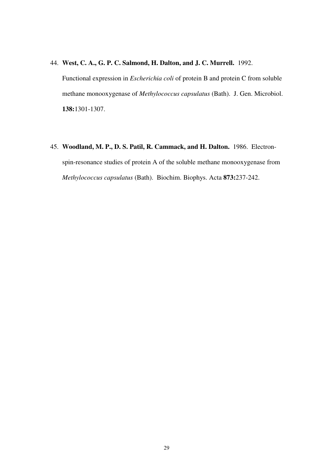44. **West, C. A., G. P. C. Salmond, H. Dalton, and J. C. Murrell.** 1992.

Functional expression in *Escherichia coli* of protein B and protein C from soluble methane monooxygenase of *Methylococcus capsulatus* (Bath). J. Gen. Microbiol. **138:**1301-1307.

45. **Woodland, M. P., D. S. Patil, R. Cammack, and H. Dalton.** 1986. Electronspin-resonance studies of protein A of the soluble methane monooxygenase from *Methylococcus capsulatus* (Bath). Biochim. Biophys. Acta **873:**237-242.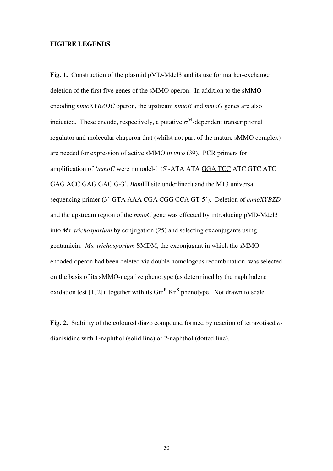### **FIGURE LEGENDS**

**Fig. 1.** Construction of the plasmid pMD-Mdel3 and its use for marker-exchange deletion of the first five genes of the sMMO operon. In addition to the sMMOencoding *mmoXYBZDC* operon, the upstream *mmoR* and *mmoG* genes are also indicated. These encode, respectively, a putative  $\sigma^{54}$ -dependent transcriptional regulator and molecular chaperon that (whilst not part of the mature sMMO complex) are needed for expression of active sMMO *in vivo* (39). PCR primers for amplification of *'mmoC* were mmodel-1 (5'-ATA ATA GGA TCC ATC GTC ATC GAG ACC GAG GAC G-3', *Bam*HI site underlined) and the M13 universal sequencing primer (3'-GTA AAA CGA CGG CCA GT-5'). Deletion of *mmoXYBZD* and the upstream region of the *mmoC* gene was effected by introducing pMD-Mdel3 into *Ms. trichosporium* by conjugation (25) and selecting exconjugants using gentamicin. *Ms. trichosporium* SMDM, the exconjugant in which the sMMOencoded operon had been deleted via double homologous recombination, was selected on the basis of its sMMO-negative phenotype (as determined by the naphthalene oxidation test [1, 2]), together with its  $\text{Gm}^R$  Kn<sup>S</sup> phenotype. Not drawn to scale.

**Fig. 2.** Stability of the coloured diazo compound formed by reaction of tetrazotised *o*dianisidine with 1-naphthol (solid line) or 2-naphthol (dotted line).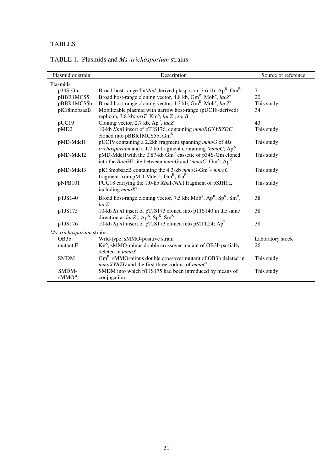### TABLES

|  |  | TABLE 1. Plasmids and Ms. trichosporium strains |
|--|--|-------------------------------------------------|
|  |  |                                                 |

| Plasmid or strain         | Description                                                                                               | Source or reference |
|---------------------------|-----------------------------------------------------------------------------------------------------------|---------------------|
| Plasmids                  |                                                                                                           |                     |
| p34S-Gm                   | Broad-host-range TnMod-derived plasposon, 3.6 kb; $Ap^R$ , $Gm^R$                                         | 7                   |
| pBBR1MCS5                 | Broad host-range cloning vector, 4.8 kb, Gm <sup>R</sup> , Mob <sup>+</sup> , lacZ'                       | 20                  |
| pBBR1MCS5b                | Broad host-range cloning vector, 4.3 kb, $\text{Gm}^R$ , Mob <sup>+</sup> , <i>lacZ</i>                   | This study          |
| pK18mobsacB               | Mobilizable plasmid with narrow host-range (pUC18-derived)                                                | 34                  |
|                           | replicon, 3.8 kb; <i>oriT</i> , $KmR$ , <i>lacZ'</i> , <i>sacB</i>                                        |                     |
| pUC19                     | Cloning vector, 2.7 kb, $Ap^R$ , lacZ'                                                                    | 43                  |
| pMD <sub>2</sub>          | 10-kb KpnI insert of pTJS176, containing mmoRGXYBZDC,                                                     | This study          |
|                           | cloned into $pBBR1MCS5b$ ; $GmR$                                                                          |                     |
| pMD-Mdel1                 | pUC19 containing a 2.2kb fragment spanning $mmod$ of Ms.                                                  | This study          |
|                           | <i>trichosporium</i> and a 1.2 kb fragment containing ' $mmoC$ ; Ap <sup>R</sup>                          |                     |
| pMD-Mdel2                 | pMD-Mdel1 with the 0.87-kb Gm <sup>R</sup> cassette of p34S-Gm cloned                                     | This study          |
|                           | into the <i>BamHI</i> site between $mmoG$ and ' $mmoC$ ; $GmR$ ; Ap <sup>R</sup>                          |                     |
| pMD-Mdel3                 | pK18mobsacB containing the 4.3-kb $mmod-GmR$ -' $mmod$                                                    | This study          |
|                           | fragment from pMD-Mdel2; Gm <sup>R</sup> , Kn <sup>R</sup>                                                |                     |
| pNPB101                   | PUC18 carrying the 1.0-kb XbaI-NdeI fragment of pSJH1a,                                                   | This study          |
|                           | including $mmoX'$                                                                                         |                     |
| pTJS140                   | Broad host-range cloning vector, 7.5 kb; $\text{Mob}^+$ , $\text{Ap}^R$ , $\text{Sp}^R$ , $\text{Sm}^R$ , | 38                  |
|                           | lacZ'                                                                                                     |                     |
| pTJS175                   | 10-kb KpnI insert of pTJS173 cloned into pTJS140 in the same                                              | 38                  |
|                           | direction as $lacZ'$ ; $Ap^R$ , $Sp^R$ , $Sm^R$                                                           |                     |
| pTJS176                   | 10-kb KpnI insert of pTJS173 cloned into pMTL24; ApR                                                      | 38                  |
| Ms. trichosporium strains |                                                                                                           |                     |
| OB <sub>3</sub> b         | Wild-type, sMMO-positive strain                                                                           | Laboratory stock    |
| mutant F                  | $Kn^R$ , sMMO-minus double crossover mutant of OB3b partially                                             | 26                  |
|                           | deleted in $mmoX$                                                                                         |                     |
| <b>SMDM</b>               | $\text{Gm}^R$ , sMMO-minus double crossover mutant of OB3b deleted in                                     | This study          |
|                           | $mmoXYBZD$ and the first three codons of $mmoC$                                                           |                     |
| SMDM-                     | SMDM into which pTJS175 had been introduced by means of                                                   | This study          |
| sMMO <sup>a</sup>         | conjugation                                                                                               |                     |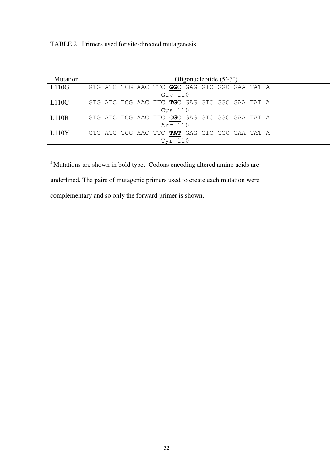TABLE 2.Primers used for site-directed mutagenesis.

| Mutation     | Oligonucleotide $(5^{\circ}-3^{\circ})^{\alpha}$ |  |  |  |
|--------------|--------------------------------------------------|--|--|--|
| L110G        | GTG ATC TCG AAC TTC GGC GAG GTC GGC GAA TAT A    |  |  |  |
|              | Gly 110                                          |  |  |  |
| L110C        | GTG ATC TCG AAC TTC TGC GAG GTC GGC GAA TAT A    |  |  |  |
|              | Cys 110                                          |  |  |  |
| L110R        | GTG ATC TCG AAC TTC CGC GAG GTC GGC GAA TAT A    |  |  |  |
| Arg 110      |                                                  |  |  |  |
| <b>L110Y</b> | GTG ATC TCG AAC TTC TAT GAG GTC GGC GAA TAT A    |  |  |  |
| Tvr 110      |                                                  |  |  |  |

<sup>a</sup> Mutations are shown in bold type. Codons encoding altered amino acids are underlined. The pairs of mutagenic primers used to create each mutation were complementary and so only the forward primer is shown.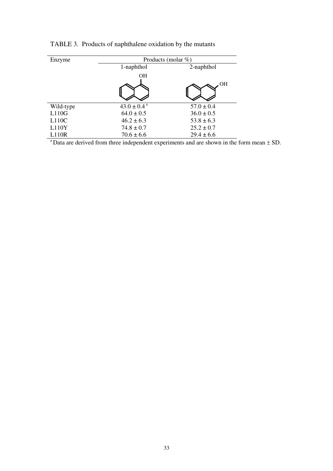| Enzyme    | Products (molar $\%$ )      |                |  |  |
|-----------|-----------------------------|----------------|--|--|
|           | 1-naphthol                  | 2-naphthol     |  |  |
|           | <b>OH</b>                   |                |  |  |
|           |                             | OН             |  |  |
|           |                             |                |  |  |
| Wild-type | $43.0 \pm 0.4$ <sup>a</sup> | $57.0 \pm 0.4$ |  |  |
| L110G     | $64.0 \pm 0.5$              | $36.0 \pm 0.5$ |  |  |
| L110C     | $46.2 \pm 6.3$              | $53.8 \pm 6.3$ |  |  |
| L110Y     | $74.8 \pm 0.7$              | $25.2 \pm 0.7$ |  |  |
| L110R     | $70.6 \pm 6.6$              | $29.4 \pm 6.6$ |  |  |

TABLE 3. Products of naphthalene oxidation by the mutants

<sup>a</sup>Data are derived from three independent experiments and are shown in the form mean  $\pm$  SD.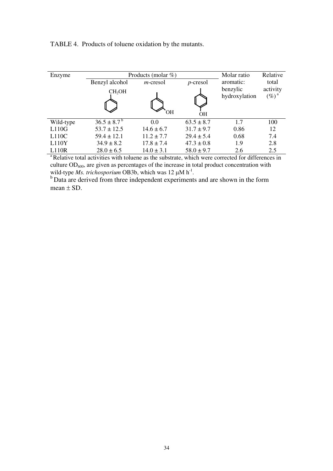| Enzyme    | Products (molar $\%$ ) | Molar ratio      | Relative       |                           |                                   |
|-----------|------------------------|------------------|----------------|---------------------------|-----------------------------------|
|           | Benzyl alcohol         | <i>m</i> -cresol | $p$ -cresol    | aromatic:                 | total                             |
|           | CH <sub>2</sub> OH     | <b>OH</b>        | <b>OH</b>      | benzylic<br>hydroxylation | activity<br>$(\%)^{\mathfrak{a}}$ |
| Wild-type | $36.5 \pm 8.7^{b}$     | 0.0              | $63.5 \pm 8.7$ | 1.7                       | 100                               |
| L110G     | $53.7 \pm 12.5$        | $14.6 \pm 6.7$   | $31.7 \pm 9.7$ | 0.86                      | 12                                |
| L110C     | $59.4 \pm 12.1$        | $11.2 \pm 7.7$   | $29.4 \pm 5.4$ | 0.68                      | 7.4                               |
| L110Y     | $34.9 \pm 8.2$         | $17.8 \pm 7.4$   | $47.3 \pm 0.8$ | 1.9                       | 2.8                               |
| L110R     | $28.0 \pm 6.5$         | $14.0 \pm 3.1$   | $58.0 \pm 9.7$ | 2.6                       | 2.5                               |

TABLE 4. Products of toluene oxidation by the mutants.

<sup>a</sup>Relative total activities with toluene as the substrate, which were corrected for differences in culture OD<sub>600</sub>, are given as percentages of the increase in total product concentration with wild-type *Ms. trichosporium* OB3b, which was 12  $\mu$ M h<sup>-1</sup>.

 $b$  Data are derived from three independent experiments and are shown in the form mean  $\pm$  SD.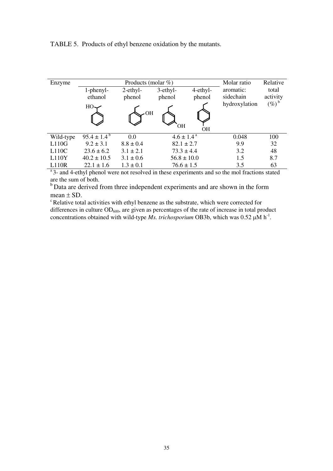TABLE 5. Products of ethyl benzene oxidation by the mutants.

| Enzyme    | Products (molar $\%$ ) |               |                          |           | Molar ratio   | Relative              |
|-----------|------------------------|---------------|--------------------------|-----------|---------------|-----------------------|
|           | 1-phenyl-              | $2$ -ethyl-   | 3-ethyl-                 | 4-ethyl-  | aromatic:     | total                 |
|           | ethanol                | phenol        | phenol                   | phenol    | sidechain     | activity              |
|           | $HO\rightarrow$        |               |                          |           | hydroxylation | $(\%)^{\mathfrak{b}}$ |
|           |                        | $\sim$ OH     |                          |           |               |                       |
|           |                        |               | OΗ                       |           |               |                       |
|           |                        |               |                          | <b>OH</b> |               |                       |
| Wild-type | $95.4 \pm 1.4^{\circ}$ | 0.0           | $4.6 \pm 1.4^{\text{a}}$ |           | 0.048         | 100                   |
| L110G     | $9.2 \pm 3.1$          | $8.8 \pm 0.4$ | $82.1 \pm 2.7$           |           | 9.9           | 32                    |
| L110C     | $23.6 \pm 6.2$         | $3.1 \pm 2.1$ | $73.3 \pm 4.4$           |           | 3.2           | 48                    |
| L110Y     | $40.2 \pm 10.5$        | $3.1 \pm 0.6$ | $56.8 \pm 10.0$          |           | 1.5           | 8.7                   |
| L110R     | $22.1 \pm 1.6$         | $1.3 \pm 0.1$ | $76.6 \pm 1.5$           |           | 3.5           | 63                    |

<sup>a</sup>3- and 4-ethyl phenol were not resolved in these experiments and so the mol fractions stated are the sum of both.

 $<sup>b</sup>$  Data are derived from three independent experiments and are shown in the form</sup> mean  $\pm$  SD.

 $c$ Relative total activities with ethyl benzene as the substrate, which were corrected for differences in culture  $OD_{600}$ , are given as percentages of the rate of increase in total product concentrations obtained with wild-type *Ms. trichosporium* OB3b, which was  $0.52 \mu M h^{-1}$ .